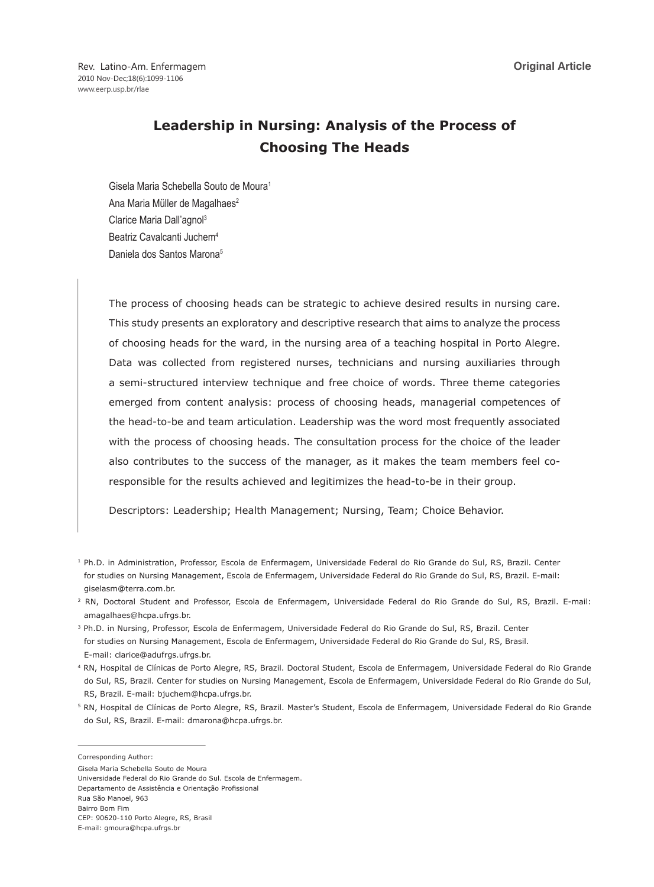Rev. Latino-Am. Enfermagem **Original Article** 2010 Nov-Dec;18(6):1099-1106 www.eerp.usp.br/rlae

# **Leadership in Nursing: Analysis of the Process of Choosing The Heads**

Gisela Maria Schebella Souto de Moura<sup>1</sup> Ana Maria Müller de Magalhaes<sup>2</sup> Clarice Maria Dall'agnol3 Beatriz Cavalcanti Juchem4 Daniela dos Santos Marona<sup>5</sup>

The process of choosing heads can be strategic to achieve desired results in nursing care. This study presents an exploratory and descriptive research that aims to analyze the process of choosing heads for the ward, in the nursing area of a teaching hospital in Porto Alegre. Data was collected from registered nurses, technicians and nursing auxiliaries through a semi-structured interview technique and free choice of words. Three theme categories emerged from content analysis: process of choosing heads, managerial competences of the head-to-be and team articulation. Leadership was the word most frequently associated with the process of choosing heads. The consultation process for the choice of the leader also contributes to the success of the manager, as it makes the team members feel coresponsible for the results achieved and legitimizes the head-to-be in their group.

Descriptors: Leadership; Health Management; Nursing, Team; Choice Behavior.

- <sup>1</sup> Ph.D. in Administration, Professor, Escola de Enfermagem, Universidade Federal do Rio Grande do Sul, RS, Brazil. Center for studies on Nursing Management, Escola de Enfermagem, Universidade Federal do Rio Grande do Sul, RS, Brazil. E-mail: giselasm@terra.com.br.
- 2 RN, Doctoral Student and Professor, Escola de Enfermagem, Universidade Federal do Rio Grande do Sul, RS, Brazil. E-mail: amagalhaes@hcpa.ufrgs.br.
- <sup>3</sup> Ph.D. in Nursing, Professor, Escola de Enfermagem, Universidade Federal do Rio Grande do Sul, RS, Brazil. Center for studies on Nursing Management, Escola de Enfermagem, Universidade Federal do Rio Grande do Sul, RS, Brasil. E-mail: clarice@adufrgs.ufrgs.br.
- 4 RN, Hospital de Clínicas de Porto Alegre, RS, Brazil. Doctoral Student, Escola de Enfermagem, Universidade Federal do Rio Grande do Sul, RS, Brazil. Center for studies on Nursing Management, Escola de Enfermagem, Universidade Federal do Rio Grande do Sul, RS, Brazil. E-mail: bjuchem@hcpa.ufrgs.br.
- <sup>5</sup> RN, Hospital de Clínicas de Porto Alegre, RS, Brazil. Master's Student, Escola de Enfermagem, Universidade Federal do Rio Grande do Sul, RS, Brazil. E-mail: dmarona@hcpa.ufrgs.br.

Universidade Federal do Rio Grande do Sul. Escola de Enfermagem.

- Departamento de Assistência e Orientação Profissional
- Rua São Manoel, 963

Corresponding Author:

Gisela Maria Schebella Souto de Moura

Bairro Bom Fim

CEP: 90620-110 Porto Alegre, RS, Brasil

E-mail: gmoura@hcpa.ufrgs.br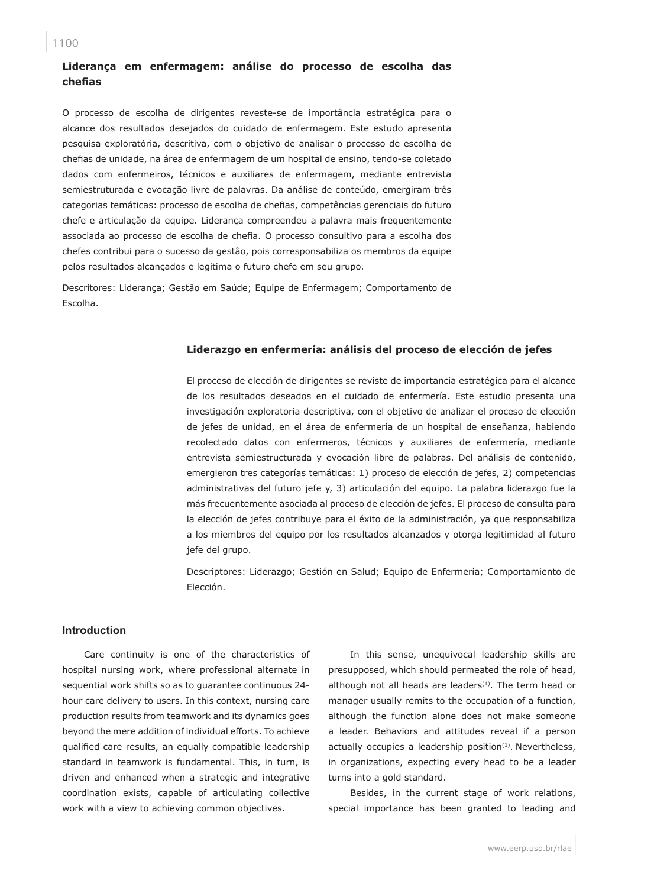# **Liderança em enfermagem: análise do processo de escolha das chefias**

O processo de escolha de dirigentes reveste-se de importância estratégica para o alcance dos resultados desejados do cuidado de enfermagem. Este estudo apresenta pesquisa exploratória, descritiva, com o objetivo de analisar o processo de escolha de chefias de unidade, na área de enfermagem de um hospital de ensino, tendo-se coletado dados com enfermeiros, técnicos e auxiliares de enfermagem, mediante entrevista semiestruturada e evocação livre de palavras. Da análise de conteúdo, emergiram três categorias temáticas: processo de escolha de chefias, competências gerenciais do futuro chefe e articulação da equipe. Liderança compreendeu a palavra mais frequentemente associada ao processo de escolha de chefia. O processo consultivo para a escolha dos chefes contribui para o sucesso da gestão, pois corresponsabiliza os membros da equipe pelos resultados alcançados e legitima o futuro chefe em seu grupo.

Descritores: Liderança; Gestão em Saúde; Equipe de Enfermagem; Comportamento de Escolha.

### **Liderazgo en enfermería: análisis del proceso de elección de jefes**

El proceso de elección de dirigentes se reviste de importancia estratégica para el alcance de los resultados deseados en el cuidado de enfermería. Este estudio presenta una investigación exploratoria descriptiva, con el objetivo de analizar el proceso de elección de jefes de unidad, en el área de enfermería de un hospital de enseñanza, habiendo recolectado datos con enfermeros, técnicos y auxiliares de enfermería, mediante entrevista semiestructurada y evocación libre de palabras. Del análisis de contenido, emergieron tres categorías temáticas: 1) proceso de elección de jefes, 2) competencias administrativas del futuro jefe y, 3) articulación del equipo. La palabra liderazgo fue la más frecuentemente asociada al proceso de elección de jefes. El proceso de consulta para la elección de jefes contribuye para el éxito de la administración, ya que responsabiliza a los miembros del equipo por los resultados alcanzados y otorga legitimidad al futuro jefe del grupo.

Descriptores: Liderazgo; Gestión en Salud; Equipo de Enfermería; Comportamiento de Elección.

## **Introduction**

Care continuity is one of the characteristics of hospital nursing work, where professional alternate in sequential work shifts so as to guarantee continuous 24 hour care delivery to users. In this context, nursing care production results from teamwork and its dynamics goes beyond the mere addition of individual efforts. To achieve qualified care results, an equally compatible leadership standard in teamwork is fundamental. This, in turn, is driven and enhanced when a strategic and integrative coordination exists, capable of articulating collective work with a view to achieving common objectives.

In this sense, unequivocal leadership skills are presupposed, which should permeated the role of head, although not all heads are leaders<sup>(1)</sup>. The term head or manager usually remits to the occupation of a function, although the function alone does not make someone a leader. Behaviors and attitudes reveal if a person actually occupies a leadership position $(1)$ . Nevertheless, in organizations, expecting every head to be a leader turns into a gold standard.

Besides, in the current stage of work relations, special importance has been granted to leading and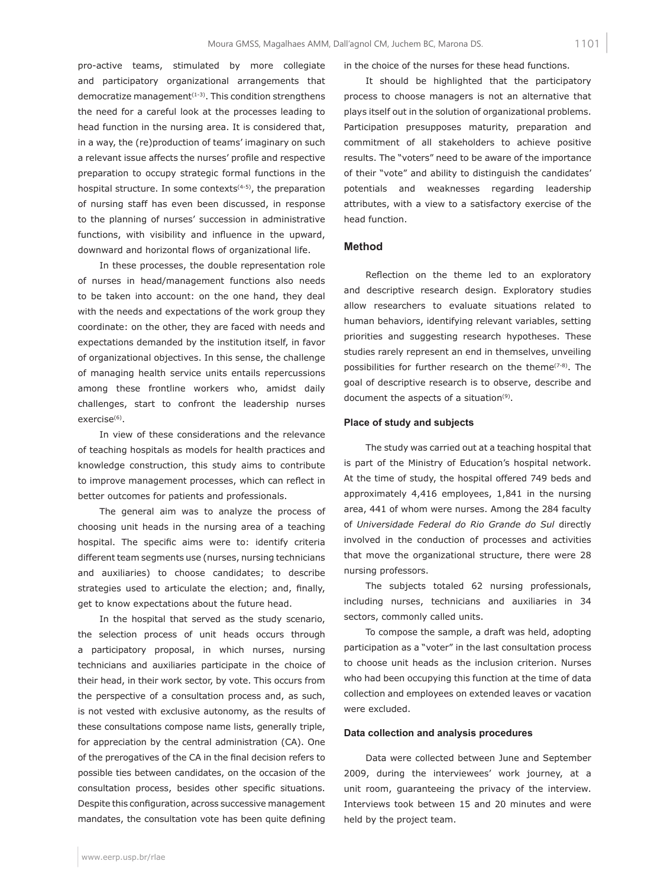pro-active teams, stimulated by more collegiate and participatory organizational arrangements that democratize management $(1-3)$ . This condition strengthens the need for a careful look at the processes leading to head function in the nursing area. It is considered that, in a way, the (re)production of teams' imaginary on such a relevant issue affects the nurses' profile and respective preparation to occupy strategic formal functions in the hospital structure. In some contexts $(4-5)$ , the preparation of nursing staff has even been discussed, in response to the planning of nurses' succession in administrative functions, with visibility and influence in the upward, downward and horizontal flows of organizational life.

In these processes, the double representation role of nurses in head/management functions also needs to be taken into account: on the one hand, they deal with the needs and expectations of the work group they coordinate: on the other, they are faced with needs and expectations demanded by the institution itself, in favor of organizational objectives. In this sense, the challenge of managing health service units entails repercussions among these frontline workers who, amidst daily challenges, start to confront the leadership nurses exercise<sup>(6)</sup>.

In view of these considerations and the relevance of teaching hospitals as models for health practices and knowledge construction, this study aims to contribute to improve management processes, which can reflect in better outcomes for patients and professionals.

The general aim was to analyze the process of choosing unit heads in the nursing area of a teaching hospital. The specific aims were to: identify criteria different team segments use (nurses, nursing technicians and auxiliaries) to choose candidates; to describe strategies used to articulate the election; and, finally, get to know expectations about the future head.

In the hospital that served as the study scenario, the selection process of unit heads occurs through a participatory proposal, in which nurses, nursing technicians and auxiliaries participate in the choice of their head, in their work sector, by vote. This occurs from the perspective of a consultation process and, as such, is not vested with exclusive autonomy, as the results of these consultations compose name lists, generally triple, for appreciation by the central administration (CA). One of the prerogatives of the CA in the final decision refers to possible ties between candidates, on the occasion of the consultation process, besides other specific situations. Despite this configuration, across successive management mandates, the consultation vote has been quite defining in the choice of the nurses for these head functions.

It should be highlighted that the participatory process to choose managers is not an alternative that plays itself out in the solution of organizational problems. Participation presupposes maturity, preparation and commitment of all stakeholders to achieve positive results. The "voters" need to be aware of the importance of their "vote" and ability to distinguish the candidates' potentials and weaknesses regarding leadership attributes, with a view to a satisfactory exercise of the head function.

## **Method**

Reflection on the theme led to an exploratory and descriptive research design. Exploratory studies allow researchers to evaluate situations related to human behaviors, identifying relevant variables, setting priorities and suggesting research hypotheses. These studies rarely represent an end in themselves, unveiling possibilities for further research on the theme<sup> $(7-8)$ </sup>. The goal of descriptive research is to observe, describe and document the aspects of a situation<sup>(9)</sup>.

#### **Place of study and subjects**

The study was carried out at a teaching hospital that is part of the Ministry of Education's hospital network. At the time of study, the hospital offered 749 beds and approximately 4,416 employees, 1,841 in the nursing area, 441 of whom were nurses. Among the 284 faculty of *Universidade Federal do Rio Grande do Sul* directly involved in the conduction of processes and activities that move the organizational structure, there were 28 nursing professors.

The subjects totaled 62 nursing professionals, including nurses, technicians and auxiliaries in 34 sectors, commonly called units.

To compose the sample, a draft was held, adopting participation as a "voter" in the last consultation process to choose unit heads as the inclusion criterion. Nurses who had been occupying this function at the time of data collection and employees on extended leaves or vacation were excluded.

## **Data collection and analysis procedures**

Data were collected between June and September 2009, during the interviewees' work journey, at a unit room, guaranteeing the privacy of the interview. Interviews took between 15 and 20 minutes and were held by the project team.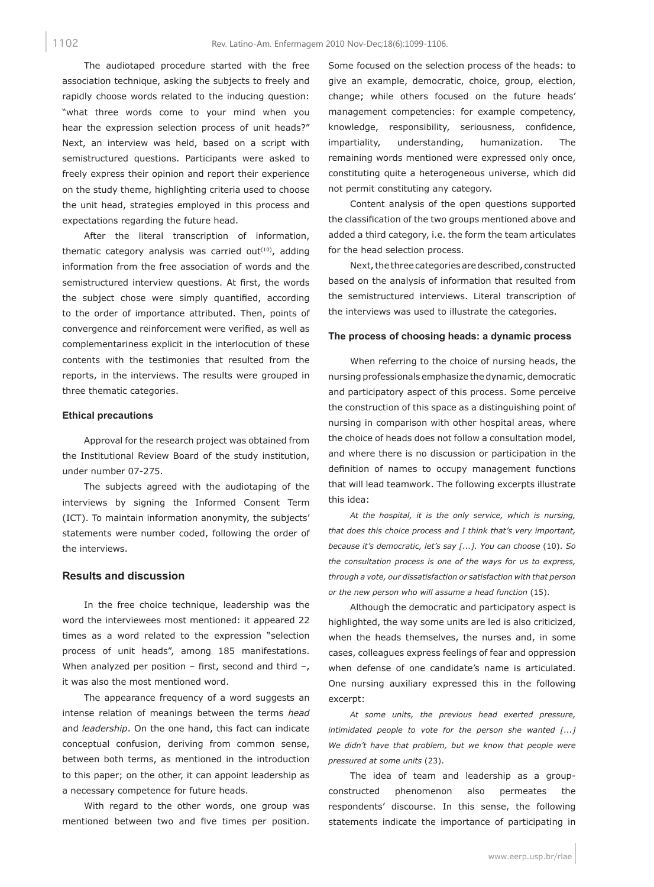The audiotaped procedure started with the free association technique, asking the subjects to freely and rapidly choose words related to the inducing question: "what three words come to your mind when you hear the expression selection process of unit heads?" Next, an interview was held, based on a script with semistructured questions. Participants were asked to freely express their opinion and report their experience on the study theme, highlighting criteria used to choose the unit head, strategies employed in this process and expectations regarding the future head.

After the literal transcription of information, thematic category analysis was carried out $(10)$ , adding information from the free association of words and the semistructured interview questions. At first, the words the subject chose were simply quantified, according to the order of importance attributed. Then, points of convergence and reinforcement were verified, as well as complementariness explicit in the interlocution of these contents with the testimonies that resulted from the reports, in the interviews. The results were grouped in three thematic categories.

#### **Ethical precautions**

Approval for the research project was obtained from the Institutional Review Board of the study institution, under number 07-275.

The subjects agreed with the audiotaping of the interviews by signing the Informed Consent Term (ICT). To maintain information anonymity, the subjects' statements were number coded, following the order of the interviews.

#### **Results and discussion**

In the free choice technique, leadership was the word the interviewees most mentioned: it appeared 22 times as a word related to the expression "selection process of unit heads", among 185 manifestations. When analyzed per position – first, second and third  $-$ , it was also the most mentioned word.

The appearance frequency of a word suggests an intense relation of meanings between the terms *head* and *leadership*. On the one hand, this fact can indicate conceptual confusion, deriving from common sense, between both terms, as mentioned in the introduction to this paper; on the other, it can appoint leadership as a necessary competence for future heads.

With regard to the other words, one group was mentioned between two and five times per position.

Some focused on the selection process of the heads: to give an example, democratic, choice, group, election, change; while others focused on the future heads' management competencies: for example competency, knowledge, responsibility, seriousness, confidence, impartiality, understanding, humanization. The remaining words mentioned were expressed only once, constituting quite a heterogeneous universe, which did not permit constituting any category.

Content analysis of the open questions supported the classification of the two groups mentioned above and added a third category, i.e. the form the team articulates for the head selection process.

Next, the three categories are described, constructed based on the analysis of information that resulted from the semistructured interviews. Literal transcription of the interviews was used to illustrate the categories.

#### **The process of choosing heads: a dynamic process**

When referring to the choice of nursing heads, the nursing professionals emphasize the dynamic, democratic and participatory aspect of this process. Some perceive the construction of this space as a distinguishing point of nursing in comparison with other hospital areas, where the choice of heads does not follow a consultation model, and where there is no discussion or participation in the definition of names to occupy management functions that will lead teamwork. The following excerpts illustrate this idea:

*At the hospital, it is the only service, which is nursing, that does this choice process and I think that's very important, because it's democratic, let's say [...]. You can choose* (10). *So the consultation process is one of the ways for us to express, through a vote, our dissatisfaction or satisfaction with that person or the new person who will assume a head function* (15).

Although the democratic and participatory aspect is highlighted, the way some units are led is also criticized, when the heads themselves, the nurses and, in some cases, colleagues express feelings of fear and oppression when defense of one candidate's name is articulated. One nursing auxiliary expressed this in the following excerpt:

*At some units, the previous head exerted pressure, intimidated people to vote for the person she wanted [...] We didn't have that problem, but we know that people were pressured at some units* (23).

The idea of team and leadership as a groupconstructed phenomenon also permeates the respondents' discourse. In this sense, the following statements indicate the importance of participating in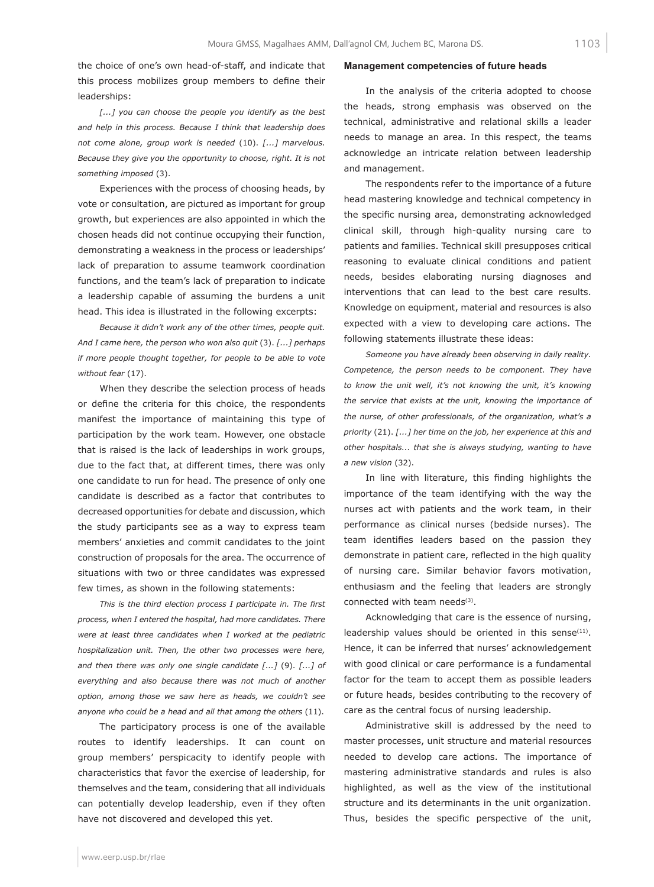the choice of one's own head-of-staff, and indicate that this process mobilizes group members to define their leaderships:

*[...] you can choose the people you identify as the best and help in this process. Because I think that leadership does not come alone, group work is needed* (10). *[...] marvelous. Because they give you the opportunity to choose, right. It is not something imposed* (3).

Experiences with the process of choosing heads, by vote or consultation, are pictured as important for group growth, but experiences are also appointed in which the chosen heads did not continue occupying their function, demonstrating a weakness in the process or leaderships' lack of preparation to assume teamwork coordination functions, and the team's lack of preparation to indicate a leadership capable of assuming the burdens a unit head. This idea is illustrated in the following excerpts:

*Because it didn't work any of the other times, people quit. And I came here, the person who won also quit* (3). *[...] perhaps if more people thought together, for people to be able to vote without fear* (17).

When they describe the selection process of heads or define the criteria for this choice, the respondents manifest the importance of maintaining this type of participation by the work team. However, one obstacle that is raised is the lack of leaderships in work groups, due to the fact that, at different times, there was only one candidate to run for head. The presence of only one candidate is described as a factor that contributes to decreased opportunities for debate and discussion, which the study participants see as a way to express team members' anxieties and commit candidates to the joint construction of proposals for the area. The occurrence of situations with two or three candidates was expressed few times, as shown in the following statements:

*This is the third election process I participate in. The first process, when I entered the hospital, had more candidates. There were at least three candidates when I worked at the pediatric hospitalization unit. Then, the other two processes were here, and then there was only one single candidate [...]* (9). *[...] of everything and also because there was not much of another option, among those we saw here as heads, we couldn't see anyone who could be a head and all that among the others* (11).

The participatory process is one of the available routes to identify leaderships. It can count on group members' perspicacity to identify people with characteristics that favor the exercise of leadership, for themselves and the team, considering that all individuals can potentially develop leadership, even if they often have not discovered and developed this yet.

## **Management competencies of future heads**

In the analysis of the criteria adopted to choose the heads, strong emphasis was observed on the technical, administrative and relational skills a leader needs to manage an area. In this respect, the teams acknowledge an intricate relation between leadership and management.

The respondents refer to the importance of a future head mastering knowledge and technical competency in the specific nursing area, demonstrating acknowledged clinical skill, through high-quality nursing care to patients and families. Technical skill presupposes critical reasoning to evaluate clinical conditions and patient needs, besides elaborating nursing diagnoses and interventions that can lead to the best care results. Knowledge on equipment, material and resources is also expected with a view to developing care actions. The following statements illustrate these ideas:

*Someone you have already been observing in daily reality. Competence, the person needs to be component. They have to know the unit well, it's not knowing the unit, it's knowing the service that exists at the unit, knowing the importance of the nurse, of other professionals, of the organization, what's a priority* (21). *[...] her time on the job, her experience at this and other hospitals... that she is always studying, wanting to have a new vision* (32).

In line with literature, this finding highlights the importance of the team identifying with the way the nurses act with patients and the work team, in their performance as clinical nurses (bedside nurses). The team identifies leaders based on the passion they demonstrate in patient care, reflected in the high quality of nursing care. Similar behavior favors motivation, enthusiasm and the feeling that leaders are strongly connected with team needs<sup>(3)</sup>.

Acknowledging that care is the essence of nursing, leadership values should be oriented in this sense<sup>(11)</sup>. Hence, it can be inferred that nurses' acknowledgement with good clinical or care performance is a fundamental factor for the team to accept them as possible leaders or future heads, besides contributing to the recovery of care as the central focus of nursing leadership.

Administrative skill is addressed by the need to master processes, unit structure and material resources needed to develop care actions. The importance of mastering administrative standards and rules is also highlighted, as well as the view of the institutional structure and its determinants in the unit organization. Thus, besides the specific perspective of the unit,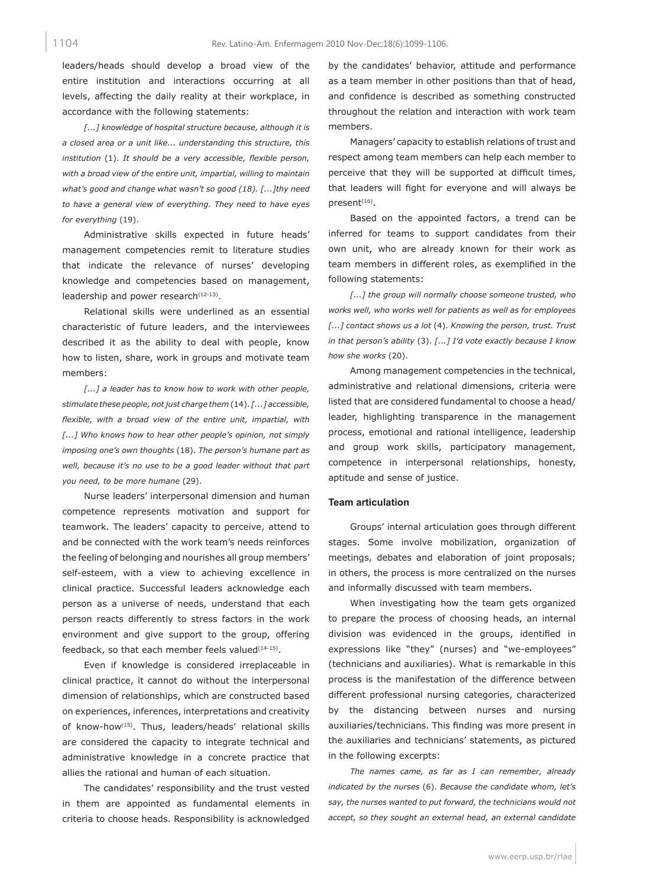leaders/heads should develop a broad view of the entire institution and interactions occurring at all levels, affecting the daily reality at their workplace, in accordance with the following statements:

*[...] knowledge of hospital structure because, although it is a closed area or a unit like... understanding this structure, this institution* (1). *It should be a very accessible, flexible person, with a broad view of the entire unit, impartial, willing to maintain what's good and change what wasn't so good (18). [...]thy need to have a general view of everything. They need to have eyes for everything* (19).

Administrative skills expected in future heads' management competencies remit to literature studies that indicate the relevance of nurses' developing knowledge and competencies based on management, leadership and power research<sup>(12-13)</sup>.

Relational skills were underlined as an essential characteristic of future leaders, and the interviewees described it as the ability to deal with people, know how to listen, share, work in groups and motivate team members:

*[...] a leader has to know how to work with other people, stimulate these people, not just charge them* (14). *[...] accessible, flexible, with a broad view of the entire unit, impartial, with [...] Who knows how to hear other people's opinion, not simply imposing one's own thoughts* (18). *The person's humane part as well, because it's no use to be a good leader without that part you need, to be more humane* (29).

Nurse leaders' interpersonal dimension and human competence represents motivation and support for teamwork. The leaders' capacity to perceive, attend to and be connected with the work team's needs reinforces the feeling of belonging and nourishes all group members' self-esteem, with a view to achieving excellence in clinical practice. Successful leaders acknowledge each person as a universe of needs, understand that each person reacts differently to stress factors in the work environment and give support to the group, offering feedback, so that each member feels valued<sup>(14-15)</sup>.

Even if knowledge is considered irreplaceable in clinical practice, it cannot do without the interpersonal dimension of relationships, which are constructed based on experiences, inferences, interpretations and creativity of know-how<sup>(15)</sup>. Thus, leaders/heads' relational skills are considered the capacity to integrate technical and administrative knowledge in a concrete practice that allies the rational and human of each situation.

The candidates' responsibility and the trust vested in them are appointed as fundamental elements in criteria to choose heads. Responsibility is acknowledged

by the candidates' behavior, attitude and performance as a team member in other positions than that of head, and confidence is described as something constructed throughout the relation and interaction with work team members.

Managers' capacity to establish relations of trust and respect among team members can help each member to perceive that they will be supported at difficult times, that leaders will fight for everyone and will always be present<sup>(16)</sup>.

Based on the appointed factors, a trend can be inferred for teams to support candidates from their own unit, who are already known for their work as team members in different roles, as exemplified in the following statements:

*[...] the group will normally choose someone trusted, who works well, who works well for patients as well as for employees [...] contact shows us a lot* (4). *Knowing the person, trust. Trust in that person's ability* (3). *[...] I'd vote exactly because I know how she works* (20).

Among management competencies in the technical, administrative and relational dimensions, criteria were listed that are considered fundamental to choose a head/ leader, highlighting transparence in the management process, emotional and rational intelligence, leadership and group work skills, participatory management, competence in interpersonal relationships, honesty, aptitude and sense of justice.

## **Team articulation**

Groups' internal articulation goes through different stages. Some involve mobilization, organization of meetings, debates and elaboration of joint proposals; in others, the process is more centralized on the nurses and informally discussed with team members.

When investigating how the team gets organized to prepare the process of choosing heads, an internal division was evidenced in the groups, identified in expressions like "they" (nurses) and "we-employees" (technicians and auxiliaries). What is remarkable in this process is the manifestation of the difference between different professional nursing categories, characterized by the distancing between nurses and nursing auxiliaries/technicians. This finding was more present in the auxiliaries and technicians' statements, as pictured in the following excerpts:

*The names came, as far as I can remember, already indicated by the nurses* (6). *Because the candidate whom, let's say, the nurses wanted to put forward, the technicians would not accept, so they sought an external head, an external candidate*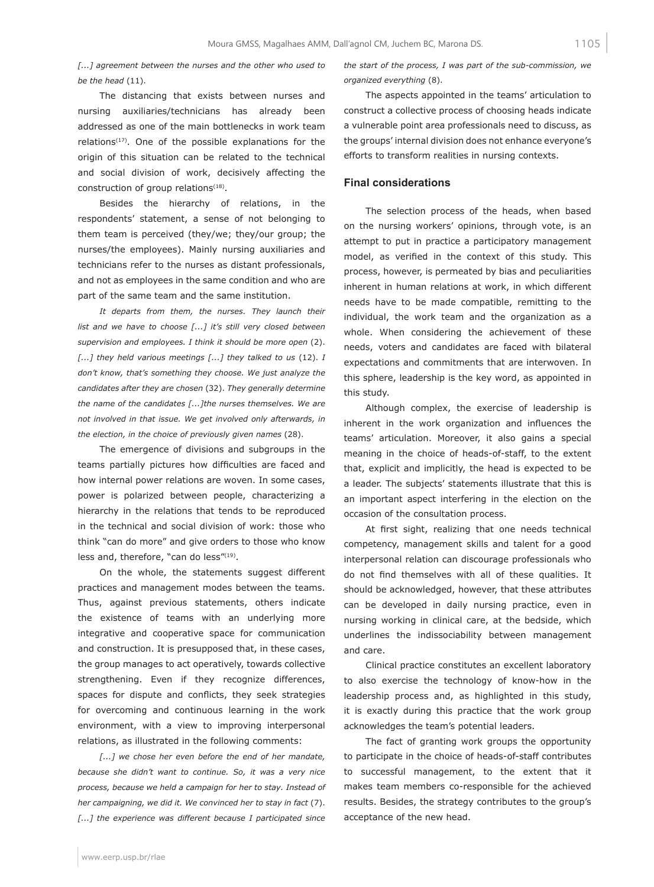*[...] agreement between the nurses and the other who used to be the head* (11).

The distancing that exists between nurses and nursing auxiliaries/technicians has already been addressed as one of the main bottlenecks in work team relations $(17)$ . One of the possible explanations for the origin of this situation can be related to the technical and social division of work, decisively affecting the construction of group relations<sup>(18)</sup>.

Besides the hierarchy of relations, in the respondents' statement, a sense of not belonging to them team is perceived (they/we; they/our group; the nurses/the employees). Mainly nursing auxiliaries and technicians refer to the nurses as distant professionals, and not as employees in the same condition and who are part of the same team and the same institution.

*It departs from them, the nurses. They launch their list and we have to choose [...] it's still very closed between supervision and employees. I think it should be more open* (2). *[...] they held various meetings [...] they talked to us* (12). *I don't know, that's something they choose. We just analyze the candidates after they are chosen* (32). *They generally determine the name of the candidates [...]the nurses themselves. We are not involved in that issue. We get involved only afterwards, in the election, in the choice of previously given names* (28).

The emergence of divisions and subgroups in the teams partially pictures how difficulties are faced and how internal power relations are woven. In some cases, power is polarized between people, characterizing a hierarchy in the relations that tends to be reproduced in the technical and social division of work: those who think "can do more" and give orders to those who know less and, therefore, "can do less"(19).

On the whole, the statements suggest different practices and management modes between the teams. Thus, against previous statements, others indicate the existence of teams with an underlying more integrative and cooperative space for communication and construction. It is presupposed that, in these cases, the group manages to act operatively, towards collective strengthening. Even if they recognize differences, spaces for dispute and conflicts, they seek strategies for overcoming and continuous learning in the work environment, with a view to improving interpersonal relations, as illustrated in the following comments:

[...] we chose her even before the end of her mandate, *because she didn't want to continue. So, it was a very nice process, because we held a campaign for her to stay. Instead of her campaigning, we did it. We convinced her to stay in fact* (7). *[...] the experience was different because I participated since*  *the start of the process, I was part of the sub-commission, we organized everything* (8).

The aspects appointed in the teams' articulation to construct a collective process of choosing heads indicate a vulnerable point area professionals need to discuss, as the groups' internal division does not enhance everyone's efforts to transform realities in nursing contexts.

## **Final considerations**

The selection process of the heads, when based on the nursing workers' opinions, through vote, is an attempt to put in practice a participatory management model, as verified in the context of this study. This process, however, is permeated by bias and peculiarities inherent in human relations at work, in which different needs have to be made compatible, remitting to the individual, the work team and the organization as a whole. When considering the achievement of these needs, voters and candidates are faced with bilateral expectations and commitments that are interwoven. In this sphere, leadership is the key word, as appointed in this study.

Although complex, the exercise of leadership is inherent in the work organization and influences the teams' articulation. Moreover, it also gains a special meaning in the choice of heads-of-staff, to the extent that, explicit and implicitly, the head is expected to be a leader. The subjects' statements illustrate that this is an important aspect interfering in the election on the occasion of the consultation process.

At first sight, realizing that one needs technical competency, management skills and talent for a good interpersonal relation can discourage professionals who do not find themselves with all of these qualities. It should be acknowledged, however, that these attributes can be developed in daily nursing practice, even in nursing working in clinical care, at the bedside, which underlines the indissociability between management and care.

Clinical practice constitutes an excellent laboratory to also exercise the technology of know-how in the leadership process and, as highlighted in this study, it is exactly during this practice that the work group acknowledges the team's potential leaders.

The fact of granting work groups the opportunity to participate in the choice of heads-of-staff contributes to successful management, to the extent that it makes team members co-responsible for the achieved results. Besides, the strategy contributes to the group's acceptance of the new head.